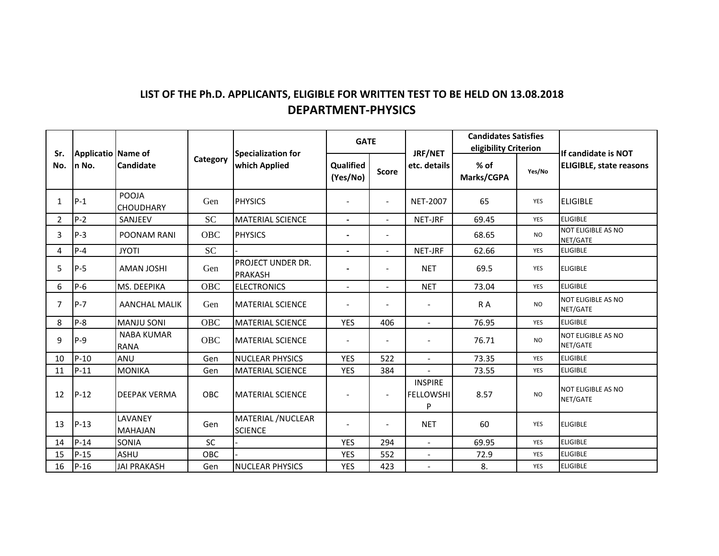## **LIST OF THE Ph.D. APPLICANTS, ELIGIBLE FOR WRITTEN TEST TO BE HELD ON 13.08.2018 DEPARTMENT‐PHYSICS**

| Sr.<br>No.     | Applicatio Name of<br>n No. | <b>Candidate</b>                 | Category  | Specialization for<br>which Applied        | <b>GATE</b>              |                          | JRF/NET                                 | <b>Candidates Satisfies</b><br>eligibility Criterion |            | If candidate is NOT                   |
|----------------|-----------------------------|----------------------------------|-----------|--------------------------------------------|--------------------------|--------------------------|-----------------------------------------|------------------------------------------------------|------------|---------------------------------------|
|                |                             |                                  |           |                                            | Qualified<br>(Yes/No)    | <b>Score</b>             | etc. details                            | % of<br>Marks/CGPA                                   | Yes/No     | <b>ELIGIBLE, state reasons</b>        |
| 1              | $P-1$                       | POOJA<br><b>CHOUDHARY</b>        | Gen       | <b>PHYSICS</b>                             |                          | $\blacksquare$           | <b>NET-2007</b>                         | 65                                                   | YES        | <b>ELIGIBLE</b>                       |
| 2              | $P-2$                       | SANJEEV                          | <b>SC</b> | <b>MATERIAL SCIENCE</b>                    | $\overline{\phantom{0}}$ | $\overline{\phantom{0}}$ | NET-JRF                                 | 69.45                                                | <b>YES</b> | <b>ELIGIBLE</b>                       |
| 3              | $P-3$                       | POONAM RANI                      | OBC       | <b>PHYSICS</b>                             |                          | $\blacksquare$           |                                         | 68.65                                                | <b>NO</b>  | <b>NOT ELIGIBLE AS NO</b><br>NET/GATE |
| 4              | $P - 4$                     | <b>JYOTI</b>                     | <b>SC</b> |                                            | $\overline{\phantom{0}}$ | $\overline{\phantom{0}}$ | NET-JRF                                 | 62.66                                                | <b>YES</b> | <b>ELIGIBLE</b>                       |
| 5              | $P-5$                       | <b>AMAN JOSHI</b>                | Gen       | <b>PROJECT UNDER DR.</b><br><b>PRAKASH</b> |                          | $\overline{a}$           | <b>NET</b>                              | 69.5                                                 | YES        | <b>ELIGIBLE</b>                       |
| 6              | $P-6$                       | MS. DEEPIKA                      | OBC       | <b>ELECTRONICS</b>                         | $\overline{\phantom{a}}$ | $\overline{\phantom{0}}$ | <b>NET</b>                              | 73.04                                                | YES        | <b>ELIGIBLE</b>                       |
| $\overline{7}$ | $P - 7$                     | <b>AANCHAL MALIK</b>             | Gen       | <b>MATERIAL SCIENCE</b>                    |                          |                          |                                         | R A                                                  | <b>NO</b>  | <b>NOT ELIGIBLE AS NO</b><br>NET/GATE |
| 8              | $P-8$                       | <b>MANJU SONI</b>                | OBC       | <b>MATERIAL SCIENCE</b>                    | <b>YES</b>               | 406                      |                                         | 76.95                                                | YES        | <b>ELIGIBLE</b>                       |
| 9              | $P-9$                       | <b>NABA KUMAR</b><br><b>RANA</b> | OBC       | <b>MATERIAL SCIENCE</b>                    |                          |                          |                                         | 76.71                                                | <b>NO</b>  | <b>NOT ELIGIBLE AS NO</b><br>NET/GATE |
| 10             | $P-10$                      | ANU                              | Gen       | <b>NUCLEAR PHYSICS</b>                     | <b>YES</b>               | 522                      |                                         | 73.35                                                | <b>YES</b> | <b>ELIGIBLE</b>                       |
| 11             | $P-11$                      | <b>MONIKA</b>                    | Gen       | <b>MATERIAL SCIENCE</b>                    | <b>YES</b>               | 384                      |                                         | 73.55                                                | YES        | <b>ELIGIBLE</b>                       |
| 12             | $P-12$                      | <b>DEEPAK VERMA</b>              | OBC       | <b>MATERIAL SCIENCE</b>                    |                          | $\overline{\phantom{a}}$ | <b>INSPIRE</b><br><b>FELLOWSHI</b><br>P | 8.57                                                 | <b>NO</b>  | <b>NOT ELIGIBLE AS NO</b><br>NET/GATE |
| 13             | $P-13$                      | LAVANEY<br><b>MAHAJAN</b>        | Gen       | MATERIAL / NUCLEAR<br><b>SCIENCE</b>       |                          |                          | <b>NET</b>                              | 60                                                   | <b>YES</b> | <b>ELIGIBLE</b>                       |
| 14             | $P-14$                      | SONIA                            | <b>SC</b> |                                            | <b>YES</b>               | 294                      |                                         | 69.95                                                | YES        | <b>ELIGIBLE</b>                       |
| 15             | $P-15$                      | <b>ASHU</b>                      | OBC       |                                            | <b>YES</b>               | 552                      | $\blacksquare$                          | 72.9                                                 | <b>YES</b> | <b>ELIGIBLE</b>                       |
| 16             | $P-16$                      | <b>JAI PRAKASH</b>               | Gen       | <b>NUCLEAR PHYSICS</b>                     | <b>YES</b>               | 423                      | $\blacksquare$                          | 8.                                                   | YES        | <b>ELIGIBLE</b>                       |